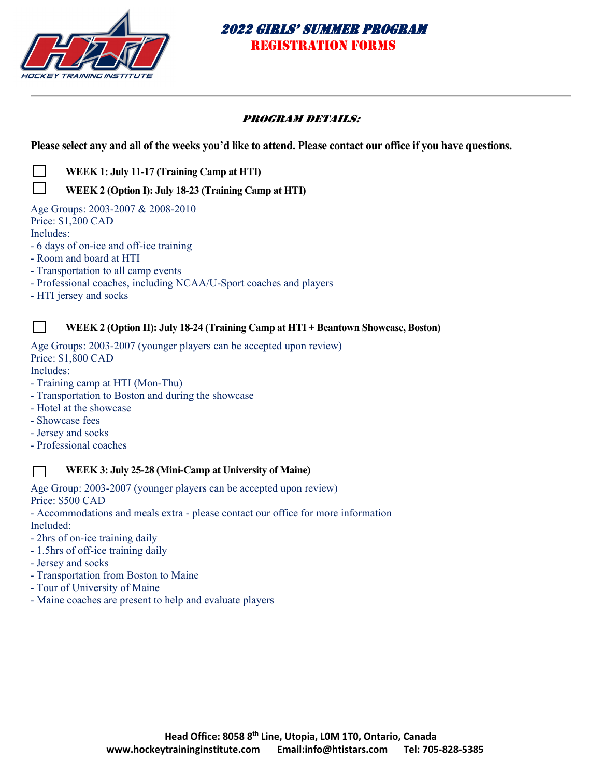

## PROGRAM DETAILS:

**Please select any and all of the weeks you'd like to attend. Please contact our office if you have questions.** 

 **WEEK 1: July 11-17 (Training Camp at HTI)** 

## **WEEK 2 (Option I): July 18-23 (Training Camp at HTI)**

Age Groups: 2003-2007 & 2008-2010 Price: \$1,200 CAD Includes:

- 6 days of on-ice and off-ice training
- Room and board at HTI
- Transportation to all camp events
- Professional coaches, including NCAA/U-Sport coaches and players
- HTI jersey and socks

### **WEEK 2 (Option II): July 18-24 (Training Camp at HTI + Beantown Showcase, Boston)**

Age Groups: 2003-2007 (younger players can be accepted upon review) Price: \$1,800 CAD

Includes:

 $\mathbb{R}^n$ 

- Training camp at HTI (Mon-Thu)
- Transportation to Boston and during the showcase
- Hotel at the showcase
- Showcase fees
- Jersey and socks
- Professional coaches

### **WEEK 3: July 25-28 (Mini-Camp at University of Maine)**

Age Group: 2003-2007 (younger players can be accepted upon review) Price: \$500 CAD

- Accommodations and meals extra - please contact our office for more information Included:

- 2hrs of on-ice training daily
- 1.5hrs of off-ice training daily
- Jersey and socks
- Transportation from Boston to Maine
- Tour of University of Maine
- Maine coaches are present to help and evaluate players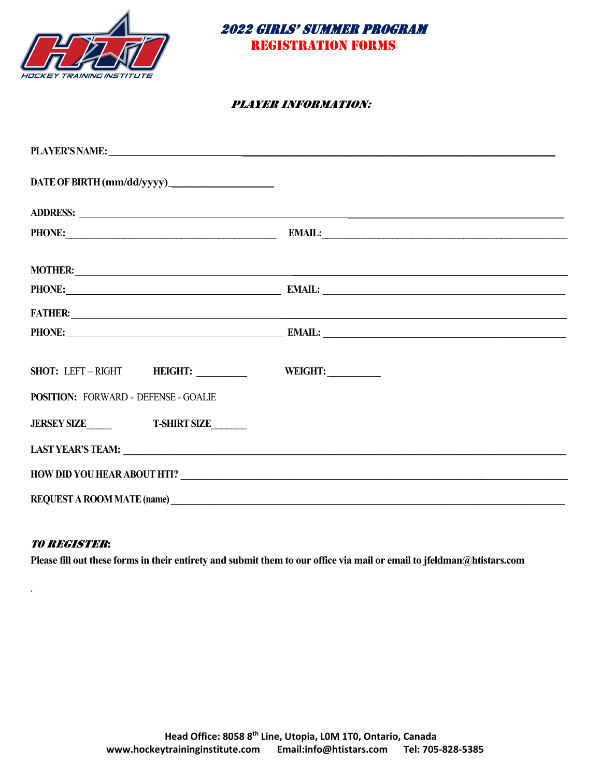



#### PLAYER INFORMATION:

|                                                                                                                                                                                                                                | PLAYER'S NAME: NAME:                                                                                                                                                                                                                 |  |  |
|--------------------------------------------------------------------------------------------------------------------------------------------------------------------------------------------------------------------------------|--------------------------------------------------------------------------------------------------------------------------------------------------------------------------------------------------------------------------------------|--|--|
|                                                                                                                                                                                                                                |                                                                                                                                                                                                                                      |  |  |
| ADDRESS: New York Contract the Contract of the Contract of the Contract of the Contract of the Contract of the Contract of the Contract of the Contract of the Contract of the Contract of the Contract of the Contract of the |                                                                                                                                                                                                                                      |  |  |
|                                                                                                                                                                                                                                | PHONE: PHONE: PHONE: PHONE: PHONE: PHONE: PHONE: PHONE: PHONE: PHONE: PHONE: PHONE: PHONE: PHONE: PHONE: PHONE                                                                                                                       |  |  |
|                                                                                                                                                                                                                                |                                                                                                                                                                                                                                      |  |  |
|                                                                                                                                                                                                                                | PHONE: EMAIL: EMAIL: EMAIL:                                                                                                                                                                                                          |  |  |
|                                                                                                                                                                                                                                | FATHER: <u>San Andrew School and Charles and Charles and Charles and Charles and Charles and Charles and Charles and Charles and Charles and Charles and Charles and Charles and Charles and Charles and Charles and Charles and</u> |  |  |
|                                                                                                                                                                                                                                | PHONE: EMAIL: EMAIL: EMAIL:                                                                                                                                                                                                          |  |  |
| SHOT: LEFT-RIGHT HEIGHT: WEIGHT:                                                                                                                                                                                               |                                                                                                                                                                                                                                      |  |  |
| <b>POSITION: FORWARD - DEFENSE - GOALIE</b>                                                                                                                                                                                    |                                                                                                                                                                                                                                      |  |  |
| JERSEY SIZE T-SHIRT SIZE                                                                                                                                                                                                       |                                                                                                                                                                                                                                      |  |  |
|                                                                                                                                                                                                                                |                                                                                                                                                                                                                                      |  |  |
|                                                                                                                                                                                                                                |                                                                                                                                                                                                                                      |  |  |
| REQUEST A ROOM MATE (name)                                                                                                                                                                                                     |                                                                                                                                                                                                                                      |  |  |

#### TO REGISTER:

.

**Please fill out these forms in their entirety and submit them to our office via mail or email to jfeldman@htistars.com**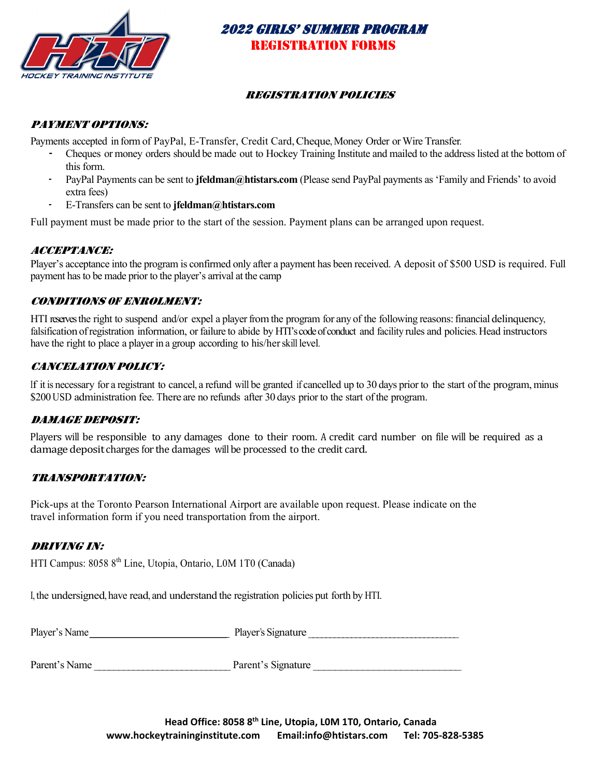

### REGISTRATION POLICIES

### PAYMENT OPTIONS:

Payments accepted in form of PayPal, E-Transfer, Credit Card, Cheque, Money Order or Wire Transfer.

- - Cheques or money orders should be made out to Hockey Training Institute and mailed to the address listed at the bottom of this form.
- PayPal Payments can be sent to **jfeldman@htistars.com** (Please send PayPal payments as 'Family and Friends' to avoid extra fees)
- -E-Transfers can be sent to **jfeldman@htistars.com**

Full payment must be made prior to the start of the session. Payment plans can be arranged upon request.

### ACCEPTANCE:

Player's acceptance into the program is confirmed only after a payment has been received. A deposit of \$500 USD is required. Full payment has to be made prior to the player's arrival at the camp

### CONDITIONS OF ENROLMENT:

HTI reserves the right to suspend and/or expel a player from the program for any of the following reasons: financial delinquency, falsification of registration information, or failure to abide by HTI's code of conduct and facility rules and policies. Head instructors have the right to place a player in a group according to his/herskill level.

## CANCELATION POLICY:

If it is necessary for a registrant to cancel, a refund will be granted if cancelled up to 30 days prior to the start of the program, minus \$200 USD administration fee. There are no refunds after 30 days prior to the start of the program.

## DAMAGE DEPOSIT:

Players will be responsible to any damages done to their room. A credit card number on file will be required as a damage deposit charges for the damages will be processed to the credit card.

### TRANSPORTATION:

Pick-ups at the Toronto Pearson International Airport are available upon request. Please indicate on the travel information form if you need transportation from the airport.

## DRIVING IN:

HTI Campus: 8058 8<sup>th</sup> Line, Utopia, Ontario, L0M 1T0 (Canada)

I, the undersigned, have read, and understand the registration policies put forth by HTI.

|             | -----  |
|-------------|--------|
| Player      | .ature |
| .           | - 10   |
| NM          |        |
| $- - - - -$ |        |
|             |        |

Parent's Name **Parent's Signature**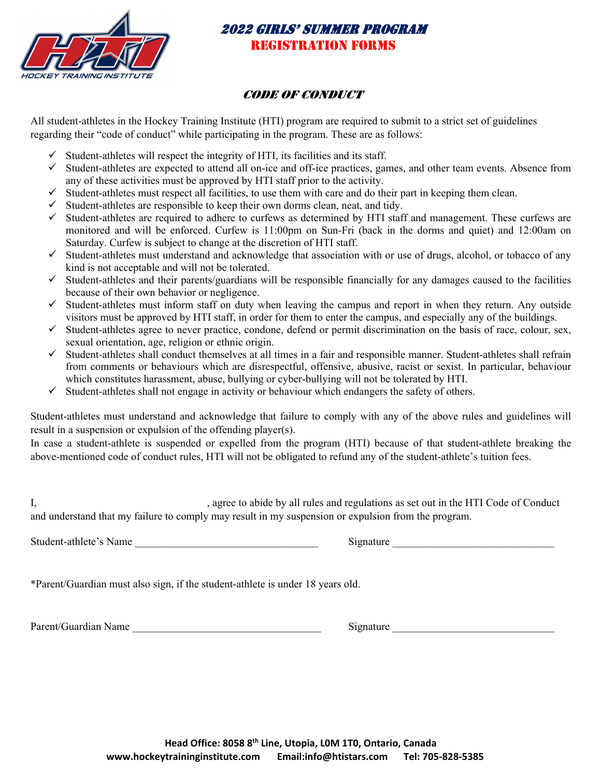

## CODE OF CONDUCT

All student-athletes in the Hockey Training Institute (HTI) program are required to submit to a strict set of guidelines regarding their "code of conduct" while participating in the program. These are as follows:

- Student-athletes will respect the integrity of HTI, its facilities and its staff.
- $\checkmark$  Student-athletes are expected to attend all on-ice and off-ice practices, games, and other team events. Absence from any of these activities must be approved by HTI staff prior to the activity.
- $\checkmark$  Student-athletes must respect all facilities, to use them with care and do their part in keeping them clean.
- $\checkmark$  Student-athletes are responsible to keep their own dorms clean, neat, and tidy.
- $\checkmark$  Student-athletes are required to adhere to curfews as determined by HTI staff and management. These curfews are monitored and will be enforced. Curfew is 11:00pm on Sun-Fri (back in the dorms and quiet) and 12:00am on Saturday. Curfew is subject to change at the discretion of HTI staff.
- $\checkmark$  Student-athletes must understand and acknowledge that association with or use of drugs, alcohol, or tobacco of any kind is not acceptable and will not be tolerated.
- $\checkmark$  Student-athletes and their parents/guardians will be responsible financially for any damages caused to the facilities because of their own behavior or negligence.
- $\checkmark$  Student-athletes must inform staff on duty when leaving the campus and report in when they return. Any outside visitors must be approved by HTI staff, in order for them to enter the campus, and especially any of the buildings.
- $\checkmark$  Student-athletes agree to never practice, condone, defend or permit discrimination on the basis of race, colour, sex, sexual orientation, age, religion or ethnic origin.
- $\checkmark$  Student-athletes shall conduct themselves at all times in a fair and responsible manner. Student-athletes shall refrain from comments or behaviours which are disrespectful, offensive, abusive, racist or sexist. In particular, behaviour which constitutes harassment, abuse, bullying or cyber-bullying will not be tolerated by HTI.
- $\checkmark$  Student-athletes shall not engage in activity or behaviour which endangers the safety of others.

Student-athletes must understand and acknowledge that failure to comply with any of the above rules and guidelines will result in a suspension or expulsion of the offending player(s).

In case a student-athlete is suspended or expelled from the program (HTI) because of that student-athlete breaking the above-mentioned code of conduct rules, HTI will not be obligated to refund any of the student-athlete's tuition fees.

I, Solution 2. agree to abide by all rules and regulations as set out in the HTI Code of Conduct and understand that my failure to comply may result in my suspension or expulsion from the program.

Student-athlete's Name **Example 2** Signature  $\overline{\text{Signature}}$ 

\*Parent/Guardian must also sign, if the student-athlete is under 18 years old.

| Parent/Guardian Name |  |
|----------------------|--|
|----------------------|--|

Signature  $\Box$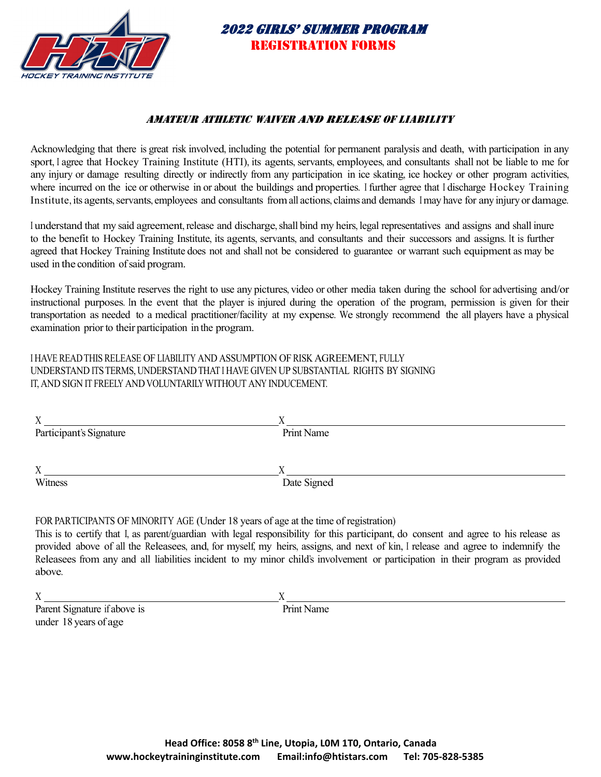

### AMATEUR ATHLETIC WAIVER AND RELEASE OF LIABILITY

Acknowledging that there is great risk involved, including the potential for permanent paralysis and death, with participation in any sport, I agree that Hockey Training Institute (HTI), its agents, servants, employees, and consultants shall not be liable to me for any injury or damage resulting directly or indirectly from any participation in ice skating, ice hockey or other program activities, where incurred on the ice or otherwise in or about the buildings and properties. I further agree that I discharge Hockey Training Institute, its agents, servants, employees and consultants from all actions, claims and demands I may have for any injury or damage.

I understand that my said agreement, release and discharge, shall bind my heirs, legal representatives and assigns and shall inure to the benefit to Hockey Training Institute, its agents, servants, and consultants and their successors and assigns. It is further agreed that Hockey Training Institute does not and shall not be considered to guarantee or warrant such equipment as may be used in the condition of said program.

Hockey Training Institute reserves the right to use any pictures, video or other media taken during the school for advertising and/or instructional purposes. In the event that the player is injured during the operation of the program, permission is given for their transportation as needed to a medical practitioner/facility at my expense. We strongly recommend the all players have a physical examination prior to their participation in the program.

I HAVE READTHIS RELEASE OF LIABILITY AND ASSUMPTION OF RISK AGREEMENT, FULLY UNDERSTAND ITSTERMS, UNDERSTANDTHAT I HAVE GIVEN UP SUBSTANTIAL RIGHTS BY SIGNING IT, AND SIGN IT FREELY AND VOLUNTARILY WITHOUT ANY INDUCEMENT.

| $\Lambda$               |             |  |
|-------------------------|-------------|--|
| Participant's Signature | Print Name  |  |
|                         |             |  |
|                         |             |  |
| X                       |             |  |
| Witness                 | Date Signed |  |
|                         |             |  |

FOR PARTICIPANTS OF MINORITY AGE (Under 18 years of age at the time of registration)

This is to certify that I, as parent/guardian with legal responsibility for this participant, do consent and agree to his release as provided above of all the Releasees, and, for myself, my heirs, assigns, and next of kin, I release and agree to indemnify the Releasees from any and all liabilities incident to my minor child's involvement or participation in their program as provided above.

 $X \sim X$ 

Parent Signature if above is Print Name under 18 years of age

**Head Office: 8058 8th Line, Utopia, L0M 1T0, Ontario, Canada www.hockeytraininginstitute.com Email:info@htistars.com Tel: 705‐828‐5385**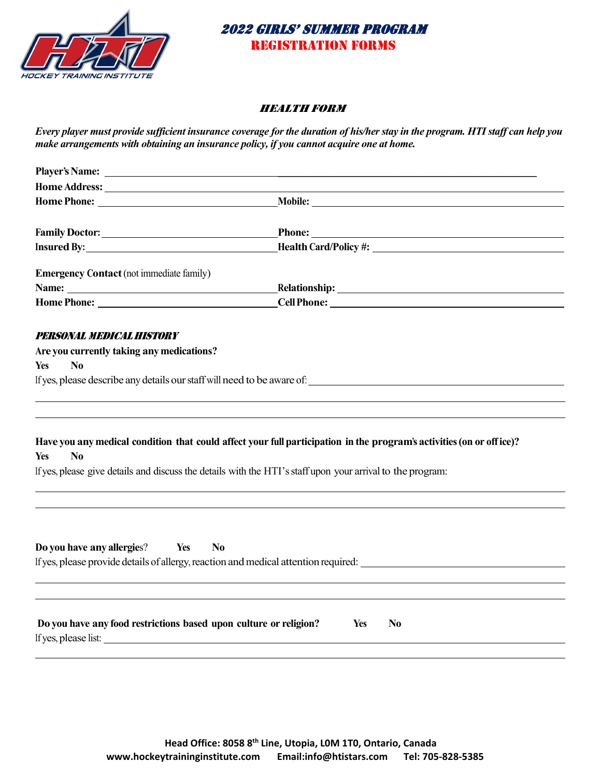

#### HEALTH FORM

*Every player must provide sufficient insurance coverage for the duration of his/her stay in the program. HTI staff can help you make arrangements with obtaining an insurance policy, if you cannot acquire one at home.* 

| Home Address: The Second Second Second Second Second Second Second Second Second Second Second Second Second Second Second Second Second Second Second Second Second Second Second Second Second Second Second Second Second S |                                                                                                                      |
|--------------------------------------------------------------------------------------------------------------------------------------------------------------------------------------------------------------------------------|----------------------------------------------------------------------------------------------------------------------|
|                                                                                                                                                                                                                                |                                                                                                                      |
|                                                                                                                                                                                                                                |                                                                                                                      |
|                                                                                                                                                                                                                                |                                                                                                                      |
|                                                                                                                                                                                                                                | <b>Health Card/Policy #:</b>                                                                                         |
| <b>Emergency Contact</b> (not immediate family)                                                                                                                                                                                |                                                                                                                      |
|                                                                                                                                                                                                                                | <b>Nelationship:</b> Nelationship:                                                                                   |
|                                                                                                                                                                                                                                |                                                                                                                      |
| PERSONAL MEDICAL HISTORY                                                                                                                                                                                                       |                                                                                                                      |
| Are you currently taking any medications?                                                                                                                                                                                      |                                                                                                                      |
| N <sub>0</sub><br><b>Yes</b>                                                                                                                                                                                                   |                                                                                                                      |
|                                                                                                                                                                                                                                | If yes, please describe any details our staff will need to be aware of:                                              |
|                                                                                                                                                                                                                                |                                                                                                                      |
| N <sub>0</sub><br><b>Yes</b>                                                                                                                                                                                                   | Have you any medical condition that could affect your full participation in the program's activities (on or office)? |
|                                                                                                                                                                                                                                | If yes, please give details and discuss the details with the HTI's staff upon your arrival to the program:           |
|                                                                                                                                                                                                                                |                                                                                                                      |
| Do you have any allergies?<br>Yes<br>N <sub>0</sub>                                                                                                                                                                            | If yes, please provide details of allergy, reaction and medical attention required:                                  |
|                                                                                                                                                                                                                                |                                                                                                                      |
|                                                                                                                                                                                                                                |                                                                                                                      |
| Do you have any food restrictions based upon culture or religion?<br>If yes, please list:                                                                                                                                      | N <sub>0</sub><br>Yes                                                                                                |